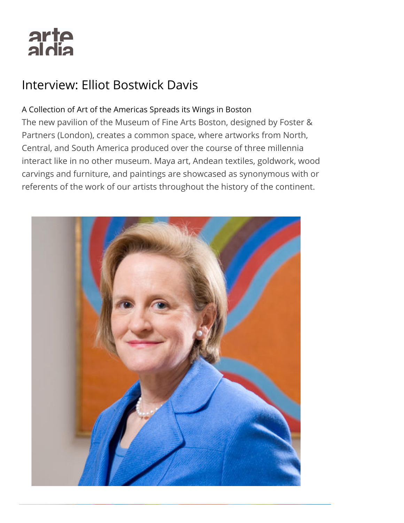# arte<br>aldia

## Interview: Elliot Bostwick Davis

### A Collection of Art of the Americas Spreads its Wings in Boston

The new pavilion of the Museum of Fine Arts Boston, designed by Foster & Partners (London), creates a common space, where artworks from North, Central, and South America produced over the course of three millennia interact like in no other museum. Maya art, Andean textiles, goldwork, wood carvings and furniture, and paintings are showcased as synonymous with or referents of the work of our artists throughout the history of the continent.

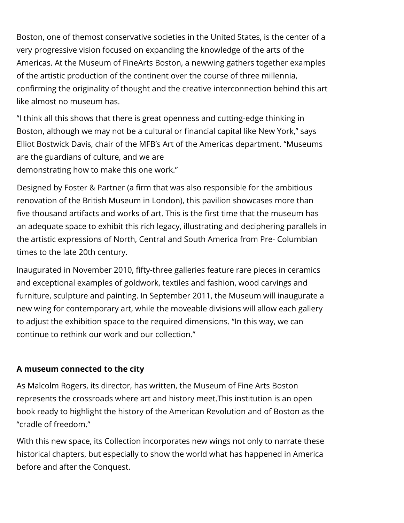Boston, one of themost conservative societies in the United States, is the center of a very progressive vision focused on expanding the knowledge of the arts of the Americas. At the Museum of FineArts Boston, a newwing gathers together examples of the artistic production of the continent over the course of three millennia, confirming the originality of thought and the creative interconnection behind this art like almost no museum has.

"I think all this shows that there is great openness and cutting-edge thinking in Boston, although we may not be a cultural or financial capital like New York," says Elliot Bostwick Davis, chair of the MFB's Art of the Americas department. "Museums are the guardians of culture, and we are demonstrating how to make this one work."

Designed by Foster & Partner (a firm that was also responsible for the ambitious renovation of the British Museum in London), this pavilion showcases more than five thousand artifacts and works of art. This is the first time that the museum has an adequate space to exhibit this rich legacy, illustrating and deciphering parallels in the artistic expressions of North, Central and South America from Pre- Columbian times to the late 20th century.

Inaugurated in November 2010, fifty-three galleries feature rare pieces in ceramics and exceptional examples of goldwork, textiles and fashion, wood carvings and furniture, sculpture and painting. In September 2011, the Museum will inaugurate a new wing for contemporary art, while the moveable divisions will allow each gallery to adjust the exhibition space to the required dimensions. "In this way, we can continue to rethink our work and our collection."

#### A museum connected to the city

As Malcolm Rogers, its director, has written, the Museum of Fine Arts Boston represents the crossroads where art and history meet.This institution is an open book ready to highlight the history of the American Revolution and of Boston as the "cradle of freedom."

With this new space, its Collection incorporates new wings not only to narrate these historical chapters, but especially to show the world what has happened in America before and after the Conquest.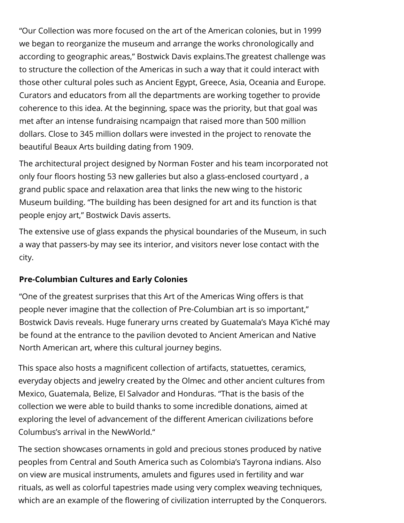"Our Collection was more focused on the art of the American colonies, but in 1999 we began to reorganize the museum and arrange the works chronologically and according to geographic areas," Bostwick Davis explains.The greatest challenge was to structure the collection of the Americas in such a way that it could interact with those other cultural poles such as Ancient Egypt, Greece, Asia, Oceania and Europe. Curators and educators from all the departments are working together to provide coherence to this idea. At the beginning, space was the priority, but that goal was met after an intense fundraising ncampaign that raised more than 500 million dollars. Close to 345 million dollars were invested in the project to renovate the beautiful Beaux Arts building dating from 1909.

The architectural project designed by Norman Foster and his team incorporated not only four floors hosting 53 new galleries but also a glass-enclosed courtyard, a grand public space and relaxation area that links the new wing to the historic Museum building. "The building has been designed for art and its function is that people enjoy art," Bostwick Davis asserts.

The extensive use of glass expands the physical boundaries of the Museum, in such a way that passers-by may see its interior, and visitors never lose contact with the city.

#### Pre-Columbian Cultures and Early Colonies

"One of the greatest surprises that this Art of the Americas Wing offers is that people never imagine that the collection of Pre-Columbian art is so important," Bostwick Davis reveals. Huge funerary urns created by Guatemala's Maya K'iché may be found at the entrance to the pavilion devoted to Ancient American and Native North American art, where this cultural journey begins.

This space also hosts a magnificent collection of artifacts, statuettes, ceramics, everyday objects and jewelry created by the Olmec and other ancient cultures from Mexico, Guatemala, Belize, El Salvador and Honduras. "That is the basis of the collection we were able to build thanks to some incredible donations, aimed at exploring the level of advancement of the different American civilizations before Columbus's arrival in the NewWorld."

The section showcases ornaments in gold and precious stones produced by native peoples from Central and South America such as Colombia's Tayrona indians. Also on view are musical instruments, amulets and figures used in fertility and war rituals, as well as colorful tapestries made using very complex weaving techniques, which are an example of the flowering of civilization interrupted by the Conquerors.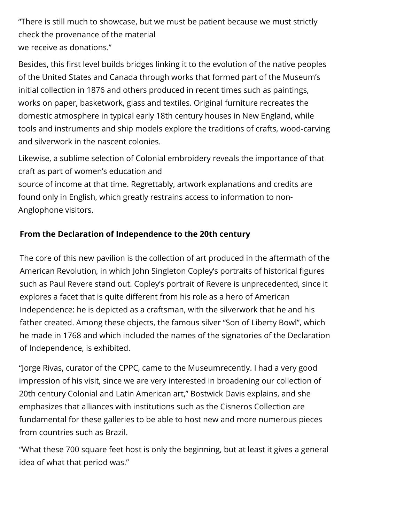"There is still much to showcase, but we must be patient because we must strictly check the provenance of the material we receive as donations."

Besides, this first level builds bridges linking it to the evolution of the native peoples of the United States and Canada through works that formed part of the Museum's initial collection in 1876 and others produced in recent times such as paintings, works on paper, basketwork, glass and textiles. Original furniture recreates the domestic atmosphere in typical early 18th century houses in New England, while tools and instruments and ship models explore the traditions of crafts, wood-carving and silverwork in the nascent colonies.

Likewise, a sublime selection of Colonial embroidery reveals the importance of that craft as part of women's education and

source of income at that time. Regrettably, artwork explanations and credits are found only in English, which greatly restrains access to information to non-Anglophone visitors.

#### From the Declaration of Independence to the 20th century

The core of this new pavilion is the collection of art produced in the aftermath of the American Revolution, in which John Singleton Copley's portraits of historical figures such as Paul Revere stand out. Copley's portrait of Revere is unprecedented, since it explores a facet that is quite different from his role as a hero of American Independence: he is depicted as a craftsman, with the silverwork that he and his father created. Among these objects, the famous silver "Son of Liberty Bowl", which he made in 1768 and which included the names of the signatories of the Declaration of Independence, is exhibited.

"Jorge Rivas, curator of the CPPC, came to the Museumrecently. I had a very good impression of his visit, since we are very interested in broadening our collection of 20th century Colonial and Latin American art," Bostwick Davis explains, and she emphasizes that alliances with institutions such as the Cisneros Collection are fundamental for these galleries to be able to host new and more numerous pieces from countries such as Brazil.

"What these 700 square feet host is only the beginning, but at least it gives a general idea of what that period was."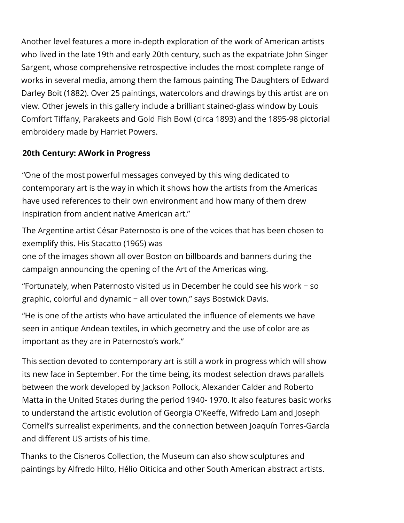Another level features a more in-depth exploration of the work of American artists who lived in the late 19th and early 20th century, such as the expatriate John Singer Sargent, whose comprehensive retrospective includes the most complete range of works in several media, among them the famous painting The Daughters of Edward Darley Boit (1882). Over 25 paintings, watercolors and drawings by this artist are on view. Other jewels in this gallery include a brilliant stained-glass window by Louis Comfort Tiffany, Parakeets and Gold Fish Bowl (circa 1893) and the 1895-98 pictorial embroidery made by Harriet Powers.

#### 20th Century: AWork in Progress

"One of the most powerful messages conveyed by this wing dedicated to contemporary art is the way in which it shows how the artists from the Americas have used references to their own environment and how many of them drew inspiration from ancient native American art."

The Argentine artist César Paternosto is one of the voices that has been chosen to exemplify this. His Stacatto (1965) was

one of the images shown all over Boston on billboards and banners during the campaign announcing the opening of the Art of the Americas wing.

"Fortunately, when Paternosto visited us in December he could see his work − so graphic, colorful and dynamic − all over town," says Bostwick Davis.

"He is one of the artists who have articulated the influence of elements we have seen in antique Andean textiles, in which geometry and the use of color are as important as they are in Paternosto's work."

This section devoted to contemporary art is still a work in progress which will show its new face in September. For the time being, its modest selection draws parallels between the work developed by Jackson Pollock, Alexander Calder and Roberto Matta in the United States during the period 1940- 1970. It also features basic works to understand the artistic evolution of Georgia O'Keeffe, Wifredo Lam and Joseph Cornell's surrealist experiments, and the connection between Joaquín Torres-García and different US artists of his time.

Thanks to the Cisneros Collection, the Museum can also show sculptures and paintings by Alfredo Hilto, Hélio Oiticica and other South American abstract artists.